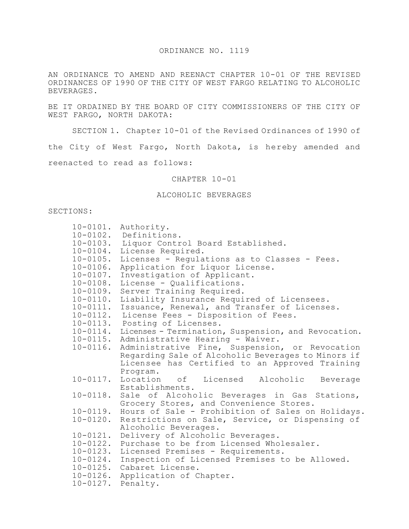#### ORDINANCE NO. 1119

AN ORDINANCE TO AMEND AND REENACT CHAPTER 10-01 OF THE REVISED ORDINANCES OF 1990 OF THE CITY OF WEST FARGO RELATING TO ALCOHOLIC BEVERAGES.

BE IT ORDAINED BY THE BOARD OF CITY COMMISSIONERS OF THE CITY OF WEST FARGO, NORTH DAKOTA:

SECTION 1. Chapter 10-01 of the Revised Ordinances of 1990 of

the City of West Fargo, North Dakota, is hereby amended and

reenacted to read as follows:

#### CHAPTER 10-01

### ALCOHOLIC BEVERAGES

## SECTIONS:

| $10 - 0101$ . | Authority.                                          |
|---------------|-----------------------------------------------------|
| $10 - 0102$ . | Definitions.                                        |
| $10 - 0103$ . | Liquor Control Board Established.                   |
| $10 - 0104$ . | License Required.                                   |
| $10 - 0105$ . | Licenses - Regulations as to Classes - Fees.        |
| $10 - 0106$ . | Application for Liquor License.                     |
| $10 - 0107$ . | Investigation of Applicant.                         |
| $10 - 0108.$  | License - Qualifications.                           |
| $10 - 0109.$  | Server Training Required.                           |
| $10 - 0110$ . | Liability Insurance Required of Licensees.          |
| $10 - 0111$ . | Issuance, Renewal, and Transfer of Licenses.        |
| $10 - 0112$ . | License Fees - Disposition of Fees.                 |
| $10 - 0113$ . | Posting of Licenses.                                |
| $10 - 0114$ . | Licenses - Termination, Suspension, and Revocation. |
| $10 - 0115$ . | Administrative Hearing - Waiver.                    |
| $10 - 0116$ . | Administrative Fine, Suspension, or Revocation      |
|               | Regarding Sale of Alcoholic Beverages to Minors if  |
|               | Licensee has Certified to an Approved Training      |
|               | Program.                                            |
| $10 - 0117$ . | Location of Licensed<br>Alcoholic<br>Beverage       |
|               | Establishments.                                     |
| $10 - 0118$ . | Sale of Alcoholic Beverages in Gas Stations,        |
|               | Grocery Stores, and Convenience Stores.             |
| $10 - 0119$ . | Hours of Sale - Prohibition of Sales on Holidays.   |
| $10 - 0120$ . | Restrictions on Sale, Service, or Dispensing of     |
|               | Alcoholic Beverages.                                |
| $10 - 0121$ . | Delivery of Alcoholic Beverages.                    |
| $10 - 0122$ . | Purchase to be from Licensed Wholesaler.            |
| $10 - 0123$ . | Licensed Premises - Requirements.                   |
| $10 - 0124$ . | Inspection of Licensed Premises to be Allowed.      |
| $10 - 0125$ . | Cabaret License.                                    |
| $10 - 0126$ . | Application of Chapter.                             |
| $10 - 0127$ . | Penalty.                                            |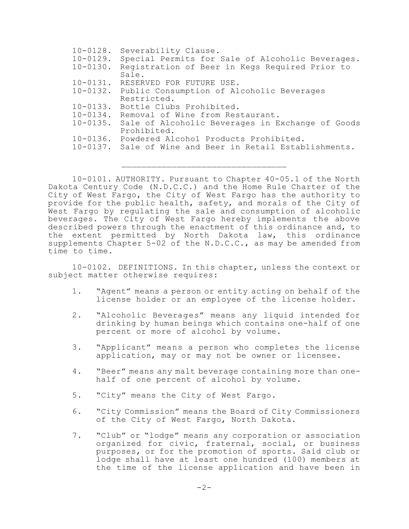| $10 - 0128$ . | Severability Clause.                                     |
|---------------|----------------------------------------------------------|
| $10 - 0129$ . | Special Permits for Sale of Alcoholic Beverages.         |
| $10 - 0130$ . | Registration of Beer in Kegs Required Prior to           |
|               | Sale.                                                    |
| $10 - 0131$ . | RESERVED FOR FUTURE USE.                                 |
|               | 10-0132. Public Consumption of Alcoholic Beverages       |
|               | Restricted.                                              |
|               | 10-0133. Bottle Clubs Prohibited.                        |
| $10 - 0134$ . | Removal of Wine from Restaurant.                         |
| $10 - 0135$ . | Sale of Alcoholic Beverages in Exchange of Goods         |
|               | Prohibited.                                              |
|               | 10-0136. Powdered Alcohol Products Prohibited.           |
|               | 10-0137. Sale of Wine and Beer in Retail Establishments. |
|               |                                                          |

10-0101. AUTHORITY. Pursuant to Chapter 40-05.1 of the North Dakota Century Code (N.D.C.C.) and the Home Rule Charter of the City of West Fargo, the City of West Fargo has the authority to provide for the public health, safety, and morals of the City of West Fargo by regulating the sale and consumption of alcoholic beverages. The City of West Fargo hereby implements the above described powers through the enactment of this ordinance and, to the extent permitted by North Dakota law, this ordinance supplements Chapter 5-02 of the N.D.C.C., as may be amended from time to time.

 $\mathcal{L}_\text{max}$ 

10-0102. DEFINITIONS. In this chapter, unless the context or subject matter otherwise requires:

- 1. "Agent" means a person or entity acting on behalf of the license holder or an employee of the license holder.
- 2. "Alcoholic Beverages" means any liquid intended for drinking by human beings which contains one-half of one percent or more of alcohol by volume.
- 3. "Applicant" means a person who completes the license application, may or may not be owner or licensee.
- 4. "Beer" means any malt beverage containing more than onehalf of one percent of alcohol by volume.
- 5. "City" means the City of West Fargo.
- 6. "City Commission" means the Board of City Commissioners of the City of West Fargo, North Dakota.
- 7. "Club" or "lodge" means any corporation or association organized for civic, fraternal, social, or business purposes, or for the promotion of sports. Said club or lodge shall have at least one hundred (100) members at the time of the license application and have been in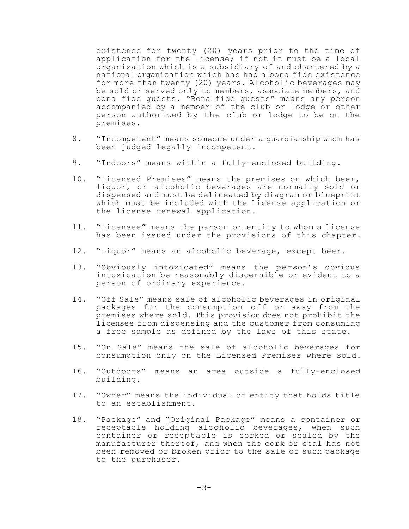existence for twenty (20) years prior to the time of application for the license; if not it must be a local organization which is a subsidiary of and chartered by a national organization which has had a bona fide existence for more than twenty (20) years. Alcoholic beverages may be sold or served only to members, associate members, and bona fide guests. "Bona fide guests" means any person accompanied by a member of the club or lodge or other person authorized by the club or lodge to be on the premises.

- 8. "Incompetent" means someone under a guardianship whom has been judged legally incompetent.
- 9. "Indoors" means within a fully-enclosed building.
- 10. "Licensed Premises" means the premises on which beer, liquor, or alcoholic beverages are normally sold or dispensed and must be delineated by diagram or blueprint which must be included with the license application or the license renewal application.
- 11. "Licensee" means the person or entity to whom a license has been issued under the provisions of this chapter.
- 12. "Liquor" means an alcoholic beverage, except beer.
- 13. "Obviously intoxicated" means the person's obvious intoxication be reasonably discernible or evident to a person of ordinary experience.
- 14. "Off Sale" means sale of alcoholic beverages in original packages for the consumption off or away from the premises where sold. This provision does not prohibit the licensee from dispensing and the customer from consuming a free sample as defined by the laws of this state.
- 15. "On Sale" means the sale of alcoholic beverages for consumption only on the Licensed Premises where sold.
- 16. "Outdoors" means an area outside a fully-enclosed building.
- 17. "Owner" means the individual or entity that holds title to an establishment.
- 18. "Package" and "Original Package" means a container or receptacle holding alcoholic beverages, when such container or receptacle is corked or sealed by the manufacturer thereof, and when the cork or seal has not been removed or broken prior to the sale of such package to the purchaser.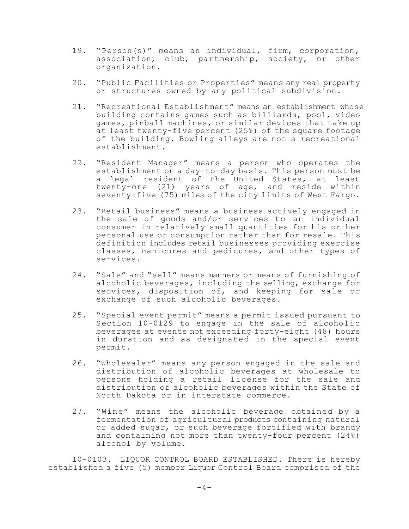- 19. "Person(s)" means an individual, firm, corporation, association, club, partnership, society, or other organization.
- 20. "Public Facilities or Properties" means any real property or structures owned by any political subdivision.
- 21. "Recreational Establishment" means an establishment whose building contains games such as billiards, pool, video games, pinball machines, or similar devices that take up at least twenty-five percent (25%) of the square footage of the building. Bowling alleys are not a recreational establishment.
- 22. "Resident Manager" means a person who operates the establishment on a day-to-day basis. This person must be a legal resident of the United States, at least twenty-one (21) years of age, and reside within seventy-five (75) miles of the city limits of West Fargo.
- 23. "Retail business" means a business actively engaged in the sale of goods and/or services to an individual consumer in relatively small quantities for his or her personal use or consumption rather than for resale. This definition includes retail businesses providing exercise classes, manicures and pedicures, and other types of services.
- 24. "Sale" and "sell" means manners or means of furnishing of alcoholic beverages, including the selling, exchange for services, disposition of, and keeping for sale or exchange of such alcoholic beverages.
- 25. "Special event permit" means a permit issued pursuant to Section 10-0129 to engage in the sale of alcoholic beverages at events not exceeding forty-eight (48) hours in duration and as designated in the special event permit.
- 26. "Wholesaler" means any person engaged in the sale and distribution of alcoholic beverages at wholesale to persons holding a retail license for the sale and distribution of alcoholic beverages within the State of North Dakota or in interstate commerce.
- 27. "Wine" means the alcoholic beverage obtained by a fermentation of agricultural products containing natural or added sugar, or such beverage fortified with brandy and containing not more than twenty-four percent (24%) alcohol by volume.

10–0103. LIQUOR CONTROL BOARD ESTABLISHED. There is hereby established a five (5) member Liquor Control Board comprised of the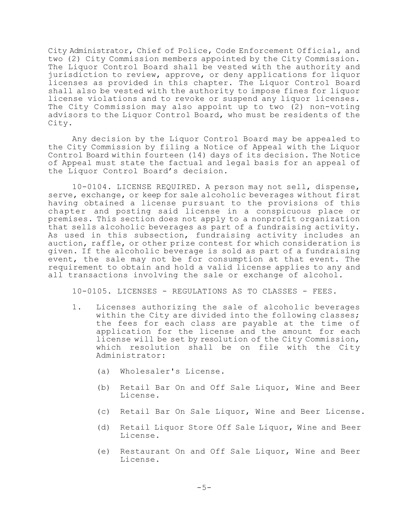City Administrator, Chief of Police, Code Enforcement Official, and two (2) City Commission members appointed by the City Commission. The Liquor Control Board shall be vested with the authority and jurisdiction to review, approve, or deny applications for liquor licenses as provided in this chapter. The Liquor Control Board shall also be vested with the authority to impose fines for liquor license violations and to revoke or suspend any liquor licenses. The City Commission may also appoint up to two (2) non-voting advisors to the Liquor Control Board, who must be residents of the City.

Any decision by the Liquor Control Board may be appealed to the City Commission by filing a Notice of Appeal with the Liquor Control Board within fourteen (14) days of its decision. The Notice of Appeal must state the factual and legal basis for an appeal of the Liquor Control Board's decision.

10-0104. LICENSE REQUIRED. A person may not sell, dispense, serve, exchange, or keep for sale alcoholic beverages without first having obtained a license pursuant to the provisions of this chapter and posting said license in a conspicuous place or premises. This section does not apply to a nonprofit organization that sells alcoholic beverages as part of a fundraising activity. As used in this subsection, fundraising activity includes an auction, raffle, or other prize contest for which consideration is given. If the alcoholic beverage is sold as part of a fundraising event, the sale may not be for consumption at that event. The requirement to obtain and hold a valid license applies to any and all transactions involving the sale or exchange of alcohol.

10-0105. LICENSES - REGULATIONS AS TO CLASSES - FEES.

- 1. Licenses authorizing the sale of alcoholic beverages within the City are divided into the following classes; the fees for each class are payable at the time of application for the license and the amount for each license will be set by resolution of the City Commission, which resolution shall be on file with the City Administrator:
	- (a) Wholesaler's License.
	- (b) Retail Bar On and Off Sale Liquor, Wine and Beer License.
	- (c) Retail Bar On Sale Liquor, Wine and Beer License.
	- (d) Retail Liquor Store Off Sale Liquor, Wine and Beer License.
	- (e) Restaurant On and Off Sale Liquor, Wine and Beer License.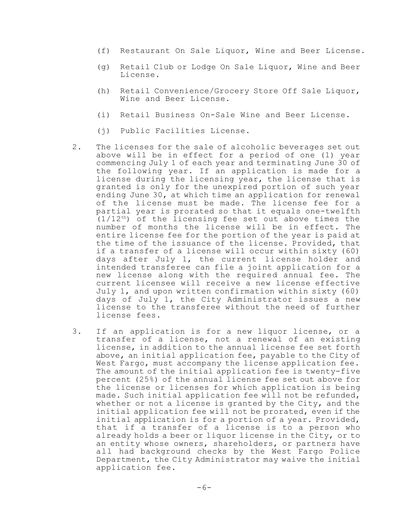- (f) Restaurant On Sale Liquor, Wine and Beer License.
- (g) Retail Club or Lodge On Sale Liquor, Wine and Beer License.
- (h) Retail Convenience/Grocery Store Off Sale Liquor, Wine and Beer License.
- (i) Retail Business On-Sale Wine and Beer License.
- (j) Public Facilities License.
- 2. The licenses for the sale of alcoholic beverages set out above will be in effect for a period of one (1) year commencing July 1 of each year and terminating June 30 of the following year. If an application is made for a license during the licensing year, the license that is granted is only for the unexpired portion of such year ending June 30, at which time an application for renewal of the license must be made. The license fee for a partial year is prorated so that it equals one-twelfth (1/12 th) of the licensing fee set out above times the number of months the license will be in effect. The entire license fee for the portion of the year is paid at the time of the issuance of the license. Provided, that if a transfer of a license will occur within sixty (60) days after July 1, the current license holder and intended transferee can file a joint application for a new license along with the required annual fee. The current licensee will receive a new license effective July 1, and upon written confirmation within sixty (60) days of July 1, the City Administrator issues a new license to the transferee without the need of further license fees.
- 3. If an application is for a new liquor license, or a transfer of a license, not a renewal of an existing license, in addition to the annual license fee set forth above, an initial application fee, payable to the City of West Fargo, must accompany the license application fee. The amount of the initial application fee is twenty-five percent (25%) of the annual license fee set out above for the license or licenses for which application is being made. Such initial application fee will not be refunded, whether or not a license is granted by the City, and the initial application fee will not be prorated, even if the initial application is for a portion of a year. Provided, that if a transfer of a license is to a person who already holds a beer or liquor license in the City, or to an entity whose owners, shareholders, or partners have all had background checks by the West Fargo Police Department, the City Administrator may waive the initial application fee.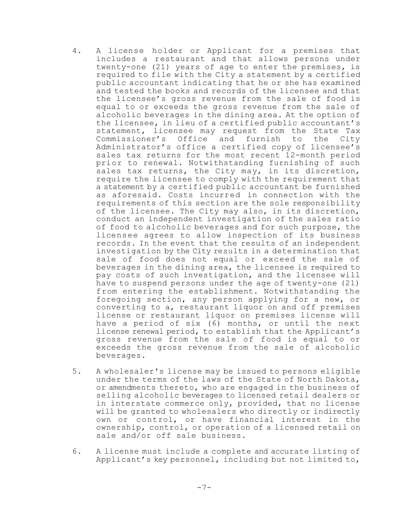- 4. A license holder or Applicant for a premises that includes a restaurant and that allows persons under twenty-one (21) years of age to enter the premises, is required to file with the City a statement by a certified public accountant indicating that he or she has examined and tested the books and records of the licensee and that the licensee's gross revenue from the sale of food is equal to or exceeds the gross revenue from the sale of alcoholic beverages in the dining area. At the option of the licensee, in lieu of a certified public accountant's statement, licensee may request from the State Tax Commissioner's Office and furnish to the City Administrator's office a certified copy of licensee's sales tax returns for the most recent 12-month period prior to renewal. Notwithstanding furnishing of such sales tax returns, the City may, in its discretion, require the licensee to comply with the requirement that a statement by a certified public accountant be furnished as aforesaid. Costs incurred in connection with the requirements of this section are the sole responsibility of the licensee. The City may also, in its discretion, conduct an independent investigation of the sales ratio of food to alcoholic beverages and for such purpose, the licensee agrees to allow inspection of its business records. In the event that the results of an independent investigation by the City results in a determination that sale of food does not equal or exceed the sale of beverages in the dining area, the licensee is required to pay costs of such investigation, and the licensee will have to suspend persons under the age of twenty-one (21) from entering the establishment. Notwithstanding the foregoing section, any person applying for a new, or converting to a, restaurant liquor on and off premises license or restaurant liquor on premises license will have a period of six (6) months, or until the next license renewal period, to establish that the Applicant's gross revenue from the sale of food is equal to or exceeds the gross revenue from the sale of alcoholic beverages.
- 5. A wholesaler's license may be issued to persons eligible under the terms of the laws of the State of North Dakota, or amendments thereto, who are engaged in the business of selling alcoholic beverages to licensed retail dealers or in interstate commerce only, provided, that no license will be granted to wholesalers who directly or indirectly own or control, or have financial interest in the ownership, control, or operation of a licensed retail on sale and/or off sale business.
- 6. A license must include a complete and accurate listing of Applicant's key personnel, including but not limited to,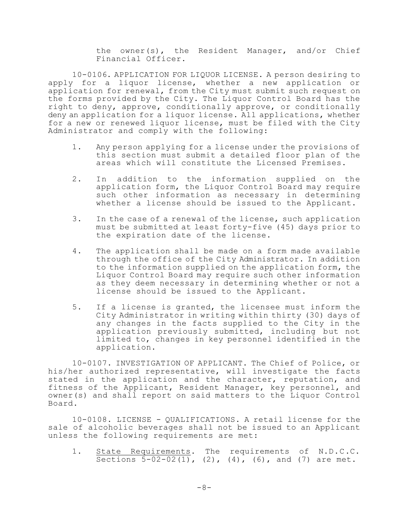the owner(s), the Resident Manager, and/or Chief Financial Officer.

10-0106. APPLICATION FOR LIQUOR LICENSE. A person desiring to apply for a liquor license, whether a new application or application for renewal, from the City must submit such request on the forms provided by the City. The Liquor Control Board has the right to deny, approve, conditionally approve, or conditionally deny an application for a liquor license. All applications, whether for a new or renewed liquor license, must be filed with the City Administrator and comply with the following:

- 1. Any person applying for a license under the provisions of this section must submit a detailed floor plan of the areas which will constitute the Licensed Premises.
- 2. In addition to the information supplied on the application form, the Liquor Control Board may require such other information as necessary in determining whether a license should be issued to the Applicant.
- 3. In the case of a renewal of the license, such application must be submitted at least forty-five (45) days prior to the expiration date of the license.
- 4. The application shall be made on a form made available through the office of the City Administrator. In addition to the information supplied on the application form, the Liquor Control Board may require such other information as they deem necessary in determining whether or not a license should be issued to the Applicant.
- 5. If a license is granted, the licensee must inform the City Administrator in writing within thirty (30) days of any changes in the facts supplied to the City in the application previously submitted, including but not limited to, changes in key personnel identified in the application.

10-0107. INVESTIGATION OF APPLICANT. The Chief of Police, or his/her authorized representative, will investigate the facts stated in the application and the character, reputation, and fitness of the Applicant, Resident Manager, key personnel, and owner(s) and shall report on said matters to the Liquor Control Board.

10-0108. LICENSE - QUALIFICATIONS. A retail license for the sale of alcoholic beverages shall not be issued to an Applicant unless the following requirements are met:

1. State Requirements. The requirements of N.D.C.C. Sections  $5-02-02(1)$ ,  $(2)$ ,  $(4)$ ,  $(6)$ , and  $(7)$  are met.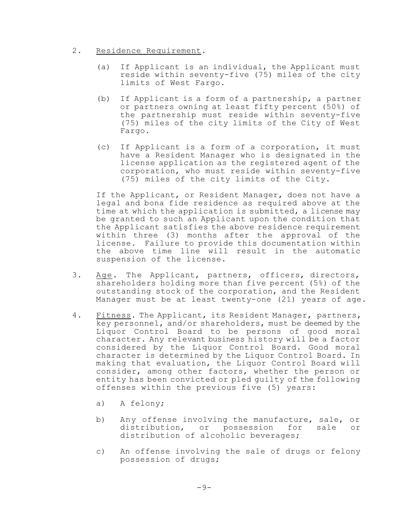# 2. Residence Requirement.

- (a) If Applicant is an individual, the Applicant must reside within seventy-five (75) miles of the city limits of West Fargo.
- (b) If Applicant is a form of a partnership, a partner or partners owning at least fifty percent (50%) of the partnership must reside within seventy-five (75) miles of the city limits of the City of West Fargo.
- (c) If Applicant is a form of a corporation, it must have a Resident Manager who is designated in the license application as the registered agent of the corporation, who must reside within seventy-five (75) miles of the city limits of the City.

If the Applicant, or Resident Manager, does not have a legal and bona fide residence as required above at the time at which the application is submitted, a license may be granted to such an Applicant upon the condition that the Applicant satisfies the above residence requirement within three (3) months after the approval of the license. Failure to provide this documentation within the above time line will result in the automatic suspension of the license.

- 3. Age. The Applicant, partners, officers, directors, shareholders holding more than five percent (5%) of the outstanding stock of the corporation, and the Resident Manager must be at least twenty-one (21) years of age.
- 4. Fitness. The Applicant, its Resident Manager, partners, key personnel, and/or shareholders, must be deemed by the Liquor Control Board to be persons of good moral character. Any relevant business history will be a factor considered by the Liquor Control Board. Good moral character is determined by the Liquor Control Board. In making that evaluation, the Liquor Control Board will consider, among other factors, whether the person or entity has been convicted or pled guilty of the following offenses within the previous five (5) years:
	- a) A felony;
	- b) Any offense involving the manufacture, sale, or distribution, or possession for sale or distribution of alcoholic beverages;
	- c) An offense involving the sale of drugs or felony possession of drugs;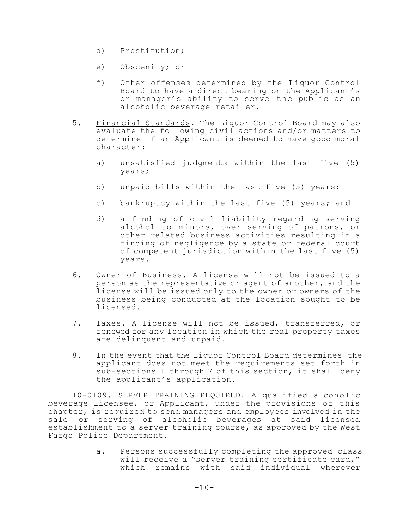- d) Prostitution;
- e) Obscenity; or
- f) Other offenses determined by the Liquor Control Board to have a direct bearing on the Applicant's or manager's ability to serve the public as an alcoholic beverage retailer.
- 5. Financial Standards. The Liquor Control Board may also evaluate the following civil actions and/or matters to determine if an Applicant is deemed to have good moral character:
	- a) unsatisfied judgments within the last five (5) years;
	- b) unpaid bills within the last five (5) years;
	- c) bankruptcy within the last five (5) years; and
	- d) a finding of civil liability regarding serving alcohol to minors, over serving of patrons, or other related business activities resulting in a finding of negligence by a state or federal court of competent jurisdiction within the last five (5) years.
- 6. Owner of Business. A license will not be issued to a person as the representative or agent of another, and the license will be issued only to the owner or owners of the business being conducted at the location sought to be licensed.
- 7. Taxes. A license will not be issued, transferred, or renewed for any location in which the real property taxes are delinquent and unpaid.
- 8. In the event that the Liquor Control Board determines the applicant does not meet the requirements set forth in sub-sections 1 through 7 of this section, it shall deny the applicant's application.

10-0109. SERVER TRAINING REQUIRED. A qualified alcoholic beverage licensee, or Applicant, under the provisions of this chapter, is required to send managers and employees involved in the sale or serving of alcoholic beverages at said licensed establishment to a server training course, as approved by the West Fargo Police Department.

> a. Persons successfully completing the approved class will receive a "server training certificate card," which remains with said individual wherever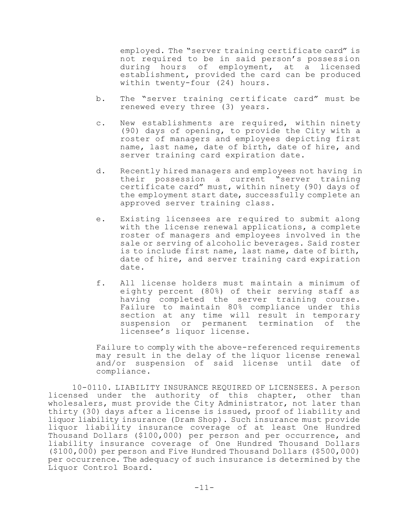employed. The "server training certificate card" is not required to be in said person's possession during hours of employment, at a licensed establishment, provided the card can be produced within twenty-four (24) hours.

- b. The "server training certificate card" must be renewed every three (3) years.
- c. New establishments are required, within ninety (90) days of opening, to provide the City with a roster of managers and employees depicting first name, last name, date of birth, date of hire, and server training card expiration date.
- d. Recently hired managers and employees not having in their possession a current "server training certificate card" must, within ninety (90) days of the employment start date, successfully complete an approved server training class.
- e. Existing licensees are required to submit along with the license renewal applications, a complete roster of managers and employees involved in the sale or serving of alcoholic beverages. Said roster is to include first name, last name, date of birth, date of hire, and server training card expiration date.
- f. All license holders must maintain a minimum of eighty percent (80%) of their serving staff as having completed the server training course. Failure to maintain 80% compliance under this section at any time will result in temporary suspension or permanent termination of the licensee's liquor license.

Failure to comply with the above-referenced requirements may result in the delay of the liquor license renewal and/or suspension of said license until date of compliance.

10-0110. LIABILITY INSURANCE REQUIRED OF LICENSEES. A person licensed under the authority of this chapter, other than wholesalers, must provide the City Administrator, not later than thirty (30) days after a license is issued, proof of liability and liquor liability insurance (Dram Shop). Such insurance must provide liquor liability insurance coverage of at least One Hundred Thousand Dollars (\$100,000) per person and per occurrence, and liability insurance coverage of One Hundred Thousand Dollars (\$100,000) per person and Five Hundred Thousand Dollars (\$500,000) per occurrence. The adequacy of such insurance is determined by the Liquor Control Board.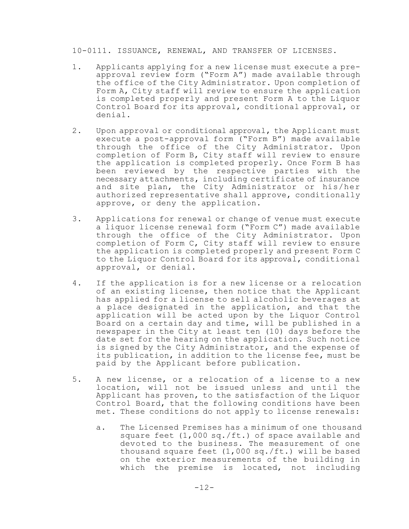10-0111. ISSUANCE, RENEWAL, AND TRANSFER OF LICENSES.

- 1. Applicants applying for a new license must execute a preapproval review form ("Form A") made available through the office of the City Administrator. Upon completion of Form A, City staff will review to ensure the application is completed properly and present Form A to the Liquor Control Board for its approval, conditional approval, or denial.
- 2. Upon approval or conditional approval, the Applicant must execute a post-approval form ("Form B") made available through the office of the City Administrator. Upon completion of Form B, City staff will review to ensure the application is completed properly. Once Form B has been reviewed by the respective parties with the necessary attachments, including certificate of insurance and site plan, the City Administrator or his/her authorized representative shall approve, conditionally approve, or deny the application.
- 3. Applications for renewal or change of venue must execute a liquor license renewal form ("Form C") made available through the office of the City Administrator. Upon completion of Form C, City staff will review to ensure the application is completed properly and present Form C to the Liquor Control Board for its approval, conditional approval, or denial.
- 4. If the application is for a new license or a relocation of an existing license, then notice that the Applicant has applied for a license to sell alcoholic beverages at a place designated in the application, and that the application will be acted upon by the Liquor Control Board on a certain day and time, will be published in a newspaper in the City at least ten (10) days before the date set for the hearing on the application. Such notice is signed by the City Administrator, and the expense of its publication, in addition to the license fee, must be paid by the Applicant before publication.
- 5. A new license, or a relocation of a license to a new location, will not be issued unless and until the Applicant has proven, to the satisfaction of the Liquor Control Board, that the following conditions have been met. These conditions do not apply to license renewals:
	- a. The Licensed Premises has a minimum of one thousand square feet (1,000 sq./ft.) of space available and devoted to the business. The measurement of one thousand square feet (1,000 sq./ft.) will be based on the exterior measurements of the building in which the premise is located, not including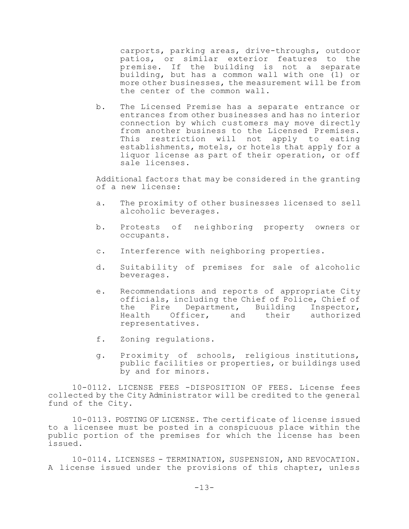carports, parking areas, drive-throughs, outdoor patios, or similar exterior features to the premise. If the building is not a separate building, but has a common wall with one (1) or more other businesses, the measurement will be from the center of the common wall.

b. The Licensed Premise has a separate entrance or entrances from other businesses and has no interior connection by which customers may move directly from another business to the Licensed Premises. This restriction will not apply to eating establishments, motels, or hotels that apply for a liquor license as part of their operation, or off sale licenses.

Additional factors that may be considered in the granting of a new license:

- a. The proximity of other businesses licensed to sell alcoholic beverages.
- b. Protests of neighboring property owners or occupants.
- c. Interference with neighboring properties.
- d. Suitability of premises for sale of alcoholic beverages.
- e. Recommendations and reports of appropriate City officials, including the Chief of Police, Chief of the Fire Department, Building Inspector, Health Officer, and their authorized representatives.
- f. Zoning regulations.
- g. Proximity of schools, religious institutions, public facilities or properties, or buildings used by and for minors.

10-0112. LICENSE FEES -DISPOSITION OF FEES. License fees collected by the City Administrator will be credited to the general fund of the City.

10-0113. POSTING OF LICENSE. The certificate of license issued to a licensee must be posted in a conspicuous place within the public portion of the premises for which the license has been issued.

10-0114. LICENSES - TERMINATION, SUSPENSION, AND REVOCATION. A license issued under the provisions of this chapter, unless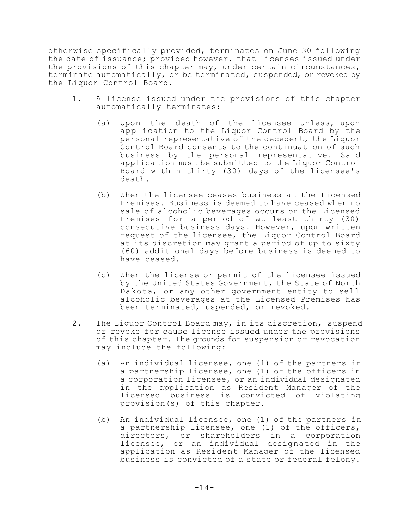otherwise specifically provided, terminates on June 30 following the date of issuance; provided however, that licenses issued under the provisions of this chapter may, under certain circumstances, terminate automatically, or be terminated, suspended, or revoked by the Liquor Control Board.

- 1. A license issued under the provisions of this chapter automatically terminates:
	- (a) Upon the death of the licensee unless, upon application to the Liquor Control Board by the personal representative of the decedent, the Liquor Control Board consents to the continuation of such business by the personal representative. Said application must be submitted to the Liquor Control Board within thirty (30) days of the licensee's death.
	- (b) When the licensee ceases business at the Licensed Premises. Business is deemed to have ceased when no sale of alcoholic beverages occurs on the Licensed Premises for a period of at least thirty (30) consecutive business days. However, upon written request of the licensee, the Liquor Control Board at its discretion may grant a period of up to sixty (60) additional days before business is deemed to have ceased.
	- (c) When the license or permit of the licensee issued by the United States Government, the State of North Dakota, or any other government entity to sell alcoholic beverages at the Licensed Premises has been terminated, uspended, or revoked.
- 2. The Liquor Control Board may, in its discretion, suspend or revoke for cause license issued under the provisions of this chapter. The grounds for suspension or revocation may include the following:
	- (a) An individual licensee, one (1) of the partners in a partnership licensee, one (1) of the officers in a corporation licensee, or an individual designated in the application as Resident Manager of the licensed business is convicted of violating provision(s) of this chapter.
	- (b) An individual licensee, one (1) of the partners in a partnership licensee, one (1) of the officers, directors, or shareholders in a corporation licensee, or an individual designated in the application as Resident Manager of the licensed business is convicted of a state or federal felony.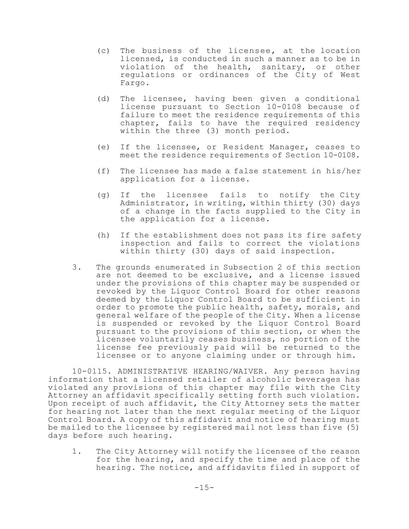- (c) The business of the licensee, at the location licensed, is conducted in such a manner as to be in violation of the health, sanitary, or other regulations or ordinances of the City of West Fargo.
- (d) The licensee, having been given a conditional license pursuant to Section 10-0108 because of failure to meet the residence requirements of this chapter, fails to have the required residency within the three (3) month period.
- (e) If the licensee, or Resident Manager, ceases to meet the residence requirements of Section 10-0108.
- (f) The licensee has made a false statement in his/her application for a license.
- (g) If the licensee fails to notify the City Administrator, in writing, within thirty (30) days of a change in the facts supplied to the City in the application for a license.
- (h) If the establishment does not pass its fire safety inspection and fails to correct the violations within thirty (30) days of said inspection.
- 3. The grounds enumerated in Subsection 2 of this section are not deemed to be exclusive, and a license issued under the provisions of this chapter may be suspended or revoked by the Liquor Control Board for other reasons deemed by the Liquor Control Board to be sufficient in order to promote the public health, safety, morals, and general welfare of the people of the City. When a license is suspended or revoked by the Liquor Control Board pursuant to the provisions of this section, or when the licensee voluntarily ceases business, no portion of the license fee previously paid will be returned to the licensee or to anyone claiming under or through him.

10-0115. ADMINISTRATIVE HEARING/WAIVER. Any person having information that a licensed retailer of alcoholic beverages has violated any provisions of this chapter may file with the City Attorney an affidavit specifically setting forth such violation. Upon receipt of such affidavit, the City Attorney sets the matter for hearing not later than the next regular meeting of the Liquor Control Board. A copy of this affidavit and notice of hearing must be mailed to the licensee by registered mail not less than five (5) days before such hearing.

1. The City Attorney will notify the licensee of the reason for the hearing, and specify the time and place of the hearing. The notice, and affidavits filed in support of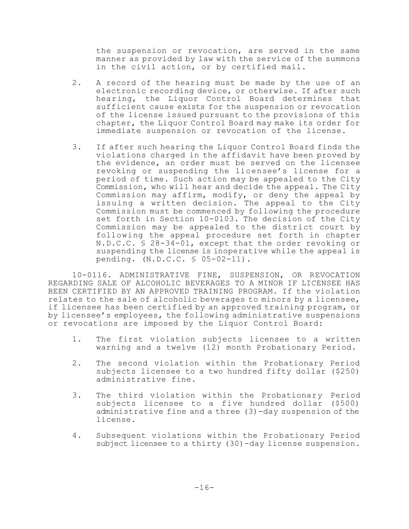the suspension or revocation, are served in the same manner as provided by law with the service of the summons in the civil action, or by certified mail.

- 2. A record of the hearing must be made by the use of an electronic recording device, or otherwise. If after such hearing, the Liquor Control Board determines that sufficient cause exists for the suspension or revocation of the license issued pursuant to the provisions of this chapter, the Liquor Control Board may make its order for immediate suspension or revocation of the license.
- 3. If after such hearing the Liquor Control Board finds the violations charged in the affidavit have been proved by the evidence, an order must be served on the licensee revoking or suspending the licensee's license for a period of time. Such action may be appealed to the City Commission, who will hear and decide the appeal. The City Commission may affirm, modify, or deny the appeal by issuing a written decision. The appeal to the City Commission must be commenced by following the procedure set forth in Section 10-0103. The decision of the City Commission may be appealed to the district court by following the appeal procedure set forth in chapter N.D.C.C. § 28-34-01, except that the order revoking or suspending the license is inoperative while the appeal is pending. (N.D.C.C. § 05-02-11).

10-0116. ADMINISTRATIVE FINE, SUSPENSION, OR REVOCATION REGARDING SALE OF ALCOHOLIC BEVERAGES TO A MINOR IF LICENSEE HAS BEEN CERTIFIED BY AN APPROVED TRAINING PROGRAM. If the violation relates to the sale of alcoholic beverages to minors by a licensee, if licensee has been certified by an approved training program, or by licensee's employees, the following administrative suspensions or revocations are imposed by the Liquor Control Board:

- 1. The first violation subjects licensee to a written warning and a twelve (12) month Probationary Period.
- 2. The second violation within the Probationary Period subjects licensee to a two hundred fifty dollar (\$250) administrative fine.
- 3. The third violation within the Probationary Period subjects licensee to a five hundred dollar (\$500) administrative fine and a three (3)-day suspension of the license.
- 4. Subsequent violations within the Probationary Period subject licensee to a thirty (30)-day license suspension.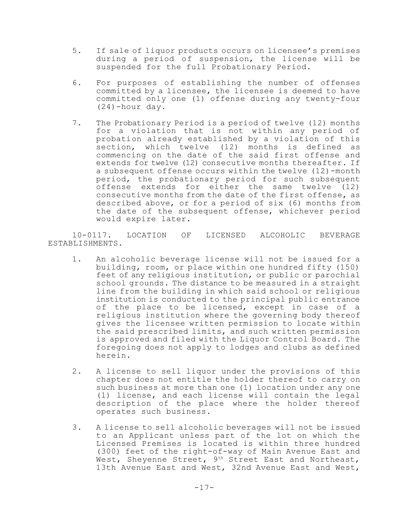- 5. If sale of liquor products occurs on licensee's premises during a period of suspension, the license will be suspended for the full Probationary Period.
- 6. For purposes of establishing the number of offenses committed by a licensee, the licensee is deemed to have committed only one (1) offense during any twenty-four (24)-hour day.
- 7. The Probationary Period is a period of twelve (12) months for a violation that is not within any period of probation already established by a violation of this section, which twelve (12) months is defined as commencing on the date of the said first offense and extends for twelve (12) consecutive months thereafter. If a subsequent offense occurs within the twelve (12)-month period, the probationary period for such subsequent offense extends for either the same twelve (12) consecutive months from the date of the first offense, as described above, or for a period of six (6) months from the date of the subsequent offense, whichever period would expire later.

10-0117. LOCATION OF LICENSED ALCOHOLIC BEVERAGE ESTABLISHMENTS.

- 1. An alcoholic beverage license will not be issued for a building, room, or place within one hundred fifty (150) feet of any religious institution, or public or parochial school grounds. The distance to be measured in a straight line from the building in which said school or religious institution is conducted to the principal public entrance of the place to be licensed, except in case of a religious institution where the governing body thereof gives the licensee written permission to locate within the said prescribed limits, and such written permission is approved and filed with the Liquor Control Board. The foregoing does not apply to lodges and clubs as defined herein.
- 2. A license to sell liquor under the provisions of this chapter does not entitle the holder thereof to carry on such business at more than one (1) location under any one (1) license, and each license will contain the legal description of the place where the holder thereof operates such business.
- 3. A license to sell alcoholic beverages will not be issued to an Applicant unless part of the lot on which the Licensed Premises is located is within three hundred (300) feet of the right-of-way of Main Avenue East and West, Sheyenne Street, 9<sup>th</sup> Street East and Northeast, 13th Avenue East and West, 32nd Avenue East and West,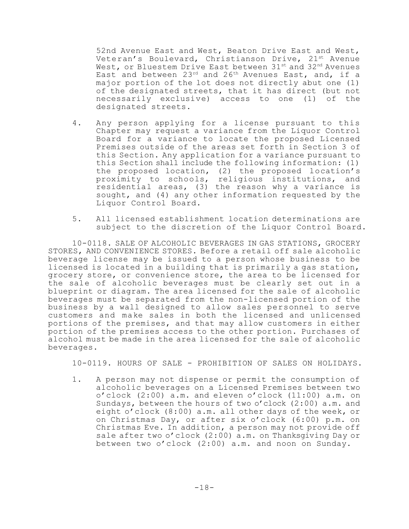52nd Avenue East and West, Beaton Drive East and West, Veteran's Boulevard, Christianson Drive, 21st Avenue West, or Bluestem Drive East between 31st and 32nd Avenues East and between 23<sup>rd</sup> and 26<sup>th</sup> Avenues East, and, if a major portion of the lot does not directly abut one (1) of the designated streets, that it has direct (but not necessarily exclusive) access to one (1) of the designated streets.

- 4. Any person applying for a license pursuant to this Chapter may request a variance from the Liquor Control Board for a variance to locate the proposed Licensed Premises outside of the areas set forth in Section 3 of this Section. Any application for a variance pursuant to this Section shall include the following information: (1) the proposed location, (2) the proposed location's proximity to schools, religious institutions, and residential areas, (3) the reason why a variance is sought, and (4) any other information requested by the Liquor Control Board.
- 5. All licensed establishment location determinations are subject to the discretion of the Liquor Control Board.

10-0118. SALE OF ALCOHOLIC BEVERAGES IN GAS STATIONS, GROCERY STORES, AND CONVENIENCE STORES. Before a retail off sale alcoholic beverage license may be issued to a person whose business to be licensed is located in a building that is primarily a gas station, grocery store, or convenience store, the area to be licensed for the sale of alcoholic beverages must be clearly set out in a blueprint or diagram. The area licensed for the sale of alcoholic beverages must be separated from the non-licensed portion of the business by a wall designed to allow sales personnel to serve customers and make sales in both the licensed and unlicensed portions of the premises, and that may allow customers in either portion of the premises access to the other portion. Purchases of alcohol must be made in the area licensed for the sale of alcoholic beverages.

10-0119. HOURS OF SALE - PROHIBITION OF SALES ON HOLIDAYS.

1. A person may not dispense or permit the consumption of alcoholic beverages on a Licensed Premises between two o'clock (2:00) a.m. and eleven o'clock (11:00) a.m. on Sundays, between the hours of two o'clock (2:00) a.m. and eight o'clock (8:00) a.m. all other days of the week, or on Christmas Day, or after six o'clock (6:00) p.m. on Christmas Eve. In addition, a person may not provide off sale after two o'clock (2:00) a.m. on Thanksgiving Day or between two o'clock (2:00) a.m. and noon on Sunday.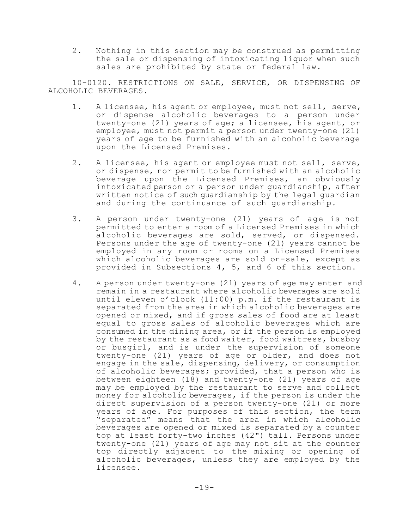2. Nothing in this section may be construed as permitting the sale or dispensing of intoxicating liquor when such sales are prohibited by state or federal law.

10-0120. RESTRICTIONS ON SALE, SERVICE, OR DISPENSING OF ALCOHOLIC BEVERAGES.

- 1. A licensee, his agent or employee, must not sell, serve, or dispense alcoholic beverages to a person under twenty-one (21) years of age; a licensee, his agent, or employee, must not permit a person under twenty-one (21) years of age to be furnished with an alcoholic beverage upon the Licensed Premises.
- 2. A licensee, his agent or employee must not sell, serve, or dispense, nor permit to be furnished with an alcoholic beverage upon the Licensed Premises, an obviously intoxicated person or a person under guardianship, after written notice of such guardianship by the legal guardian and during the continuance of such guardianship.
- 3. A person under twenty-one (21) years of age is not permitted to enter a room of a Licensed Premises in which alcoholic beverages are sold, served, or dispensed. Persons under the age of twenty-one (21) years cannot be employed in any room or rooms on a Licensed Premises which alcoholic beverages are sold on-sale, except as provided in Subsections 4, 5, and 6 of this section.
- 4. A person under twenty-one (21) years of age may enter and remain in a restaurant where alcoholic beverages are sold until eleven o'clock (11:00) p.m. if the restaurant is separated from the area in which alcoholic beverages are opened or mixed, and if gross sales of food are at least equal to gross sales of alcoholic beverages which are consumed in the dining area, or if the person is employed by the restaurant as a food waiter, food waitress, busboy or busgirl, and is under the supervision of someone twenty-one (21) years of age or older, and does not engage in the sale, dispensing, delivery, or consumption of alcoholic beverages; provided, that a person who is between eighteen (18) and twenty-one (21) years of age may be employed by the restaurant to serve and collect money for alcoholic beverages, if the person is under the direct supervision of a person twenty-one (21) or more years of age. For purposes of this section, the term "separated" means that the area in which alcoholic beverages are opened or mixed is separated by a counter top at least forty-two inches (42") tall. Persons under twenty-one (21) years of age may not sit at the counter top directly adjacent to the mixing or opening of alcoholic beverages, unless they are employed by the licensee.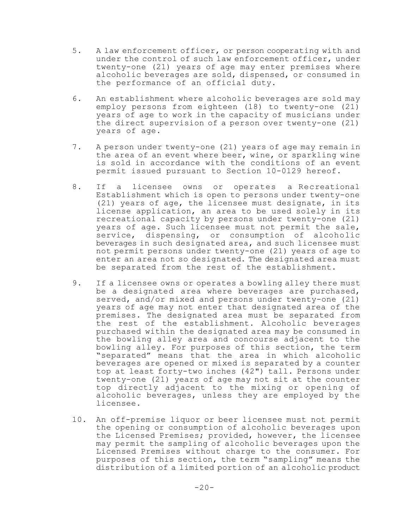- 5. A law enforcement officer, or person cooperating with and under the control of such law enforcement officer, under twenty-one (21) years of age may enter premises where alcoholic beverages are sold, dispensed, or consumed in the performance of an official duty.
- 6. An establishment where alcoholic beverages are sold may employ persons from eighteen (18) to twenty-one (21) years of age to work in the capacity of musicians under the direct supervision of a person over twenty-one (21) years of age.
- 7. A person under twenty-one (21) years of age may remain in the area of an event where beer, wine, or sparkling wine is sold in accordance with the conditions of an event permit issued pursuant to Section 10-0129 hereof.
- 8. If a licensee owns or operates a Recreational Establishment which is open to persons under twenty-one (21) years of age, the licensee must designate, in its license application, an area to be used solely in its recreational capacity by persons under twenty-one (21) years of age. Such licensee must not permit the sale, service, dispensing, or consumption of alcoholic beverages in such designated area, and such licensee must not permit persons under twenty-one (21) years of age to enter an area not so designated. The designated area must be separated from the rest of the establishment.
- 9. If a licensee owns or operates a bowling alley there must be a designated area where beverages are purchased, served, and/or mixed and persons under twenty-one (21) years of age may not enter that designated area of the premises. The designated area must be separated from the rest of the establishment. Alcoholic beverages purchased within the designated area may be consumed in the bowling alley area and concourse adjacent to the bowling alley. For purposes of this section, the term "separated" means that the area in which alcoholic beverages are opened or mixed is separated by a counter top at least forty-two inches (42") tall. Persons under twenty-one (21) years of age may not sit at the counter top directly adjacent to the mixing or opening of alcoholic beverages, unless they are employed by the licensee.
- 10. An off-premise liquor or beer licensee must not permit the opening or consumption of alcoholic beverages upon the Licensed Premises; provided, however, the licensee may permit the sampling of alcoholic beverages upon the Licensed Premises without charge to the consumer. For purposes of this section, the term "sampling" means the distribution of a limited portion of an alcoholic product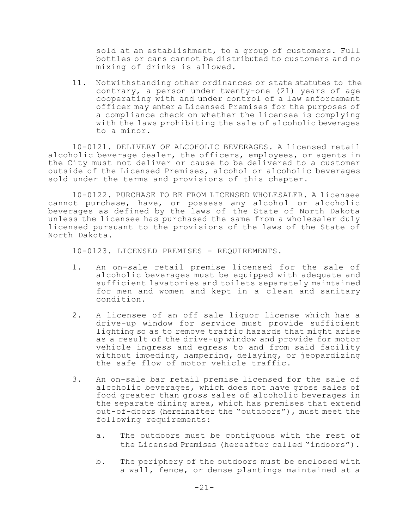sold at an establishment, to a group of customers. Full bottles or cans cannot be distributed to customers and no mixing of drinks is allowed.

11. Notwithstanding other ordinances or state statutes to the contrary, a person under twenty-one (21) years of age cooperating with and under control of a law enforcement officer may enter a Licensed Premises for the purposes of a compliance check on whether the licensee is complying with the laws prohibiting the sale of alcoholic beverages to a minor.

10-0121. DELIVERY OF ALCOHOLIC BEVERAGES. A licensed retail alcoholic beverage dealer, the officers, employees, or agents in the City must not deliver or cause to be delivered to a customer outside of the Licensed Premises, alcohol or alcoholic beverages sold under the terms and provisions of this chapter.

10-0122. PURCHASE TO BE FROM LICENSED WHOLESALER. A licensee cannot purchase, have, or possess any alcohol or alcoholic beverages as defined by the laws of the State of North Dakota unless the licensee has purchased the same from a wholesaler duly licensed pursuant to the provisions of the laws of the State of North Dakota.

10-0123. LICENSED PREMISES - REQUIREMENTS.

- 1. An on-sale retail premise licensed for the sale of alcoholic beverages must be equipped with adequate and sufficient lavatories and toilets separately maintained for men and women and kept in a clean and sanitary condition.
- 2. A licensee of an off sale liquor license which has a drive-up window for service must provide sufficient lighting so as to remove traffic hazards that might arise as a result of the drive-up window and provide for motor vehicle ingress and egress to and from said facility without impeding, hampering, delaying, or jeopardizing the safe flow of motor vehicle traffic.
- 3. An on-sale bar retail premise licensed for the sale of alcoholic beverages, which does not have gross sales of food greater than gross sales of alcoholic beverages in the separate dining area, which has premises that extend out-of-doors (hereinafter the "outdoors"), must meet the following requirements:
	- a. The outdoors must be contiguous with the rest of the Licensed Premises (hereafter called "indoors").
	- b. The periphery of the outdoors must be enclosed with a wall, fence, or dense plantings maintained at a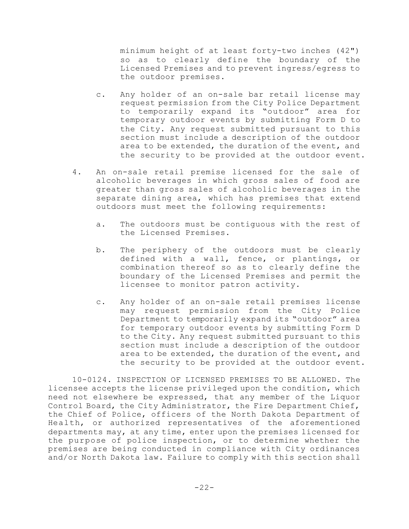minimum height of at least forty-two inches (42") so as to clearly define the boundary of the Licensed Premises and to prevent ingress/egress to the outdoor premises.

- c. Any holder of an on-sale bar retail license may request permission from the City Police Department to temporarily expand its "outdoor" area for temporary outdoor events by submitting Form D to the City. Any request submitted pursuant to this section must include a description of the outdoor area to be extended, the duration of the event, and the security to be provided at the outdoor event.
- 4. An on-sale retail premise licensed for the sale of alcoholic beverages in which gross sales of food are greater than gross sales of alcoholic beverages in the separate dining area, which has premises that extend outdoors must meet the following requirements:
	- a. The outdoors must be contiguous with the rest of the Licensed Premises.
	- b. The periphery of the outdoors must be clearly defined with a wall, fence, or plantings, or combination thereof so as to clearly define the boundary of the Licensed Premises and permit the licensee to monitor patron activity.
	- c. Any holder of an on-sale retail premises license may request permission from the City Police Department to temporarily expand its "outdoor" area for temporary outdoor events by submitting Form D to the City. Any request submitted pursuant to this section must include a description of the outdoor area to be extended, the duration of the event, and the security to be provided at the outdoor event.

10-0124. INSPECTION OF LICENSED PREMISES TO BE ALLOWED. The licensee accepts the license privileged upon the condition, which need not elsewhere be expressed, that any member of the Liquor Control Board, the City Administrator, the Fire Department Chief, the Chief of Police, officers of the North Dakota Department of Health, or authorized representatives of the aforementioned departments may, at any time, enter upon the premises licensed for the purpose of police inspection, or to determine whether the premises are being conducted in compliance with City ordinances and/or North Dakota law. Failure to comply with this section shall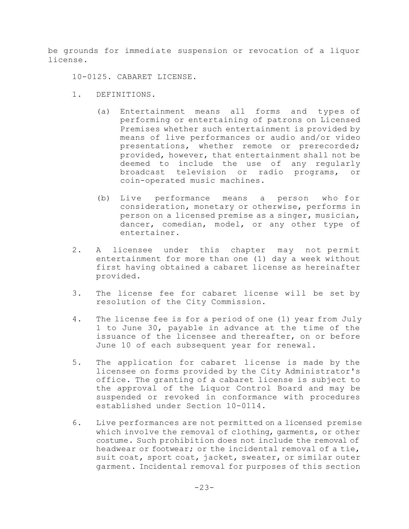be grounds for immediate suspension or revocation of a liquor license.

10-0125. CABARET LICENSE.

- 1. DEFINITIONS.
	- (a) Entertainment means all forms and types of performing or entertaining of patrons on Licensed Premises whether such entertainment is provided by means of live performances or audio and/or video presentations, whether remote or prerecorded; provided, however, that entertainment shall not be deemed to include the use of any regularly broadcast television or radio programs, or coin-operated music machines.
	- (b) Live performance means a person who for consideration, monetary or otherwise, performs in person on a licensed premise as a singer, musician, dancer, comedian, model, or any other type of entertainer.
- 2. A licensee under this chapter may not permit entertainment for more than one (1) day a week without first having obtained a cabaret license as hereinafter provided.
- 3. The license fee for cabaret license will be set by resolution of the City Commission.
- 4. The license fee is for a period of one (1) year from July 1 to June 30, payable in advance at the time of the issuance of the licensee and thereafter, on or before June 10 of each subsequent year for renewal.
- 5. The application for cabaret license is made by the licensee on forms provided by the City Administrator's office. The granting of a cabaret license is subject to the approval of the Liquor Control Board and may be suspended or revoked in conformance with procedures established under Section 10-0114.
- 6. Live performances are not permitted on a licensed premise which involve the removal of clothing, garments, or other costume. Such prohibition does not include the removal of headwear or footwear; or the incidental removal of a tie, suit coat, sport coat, jacket, sweater, or similar outer garment. Incidental removal for purposes of this section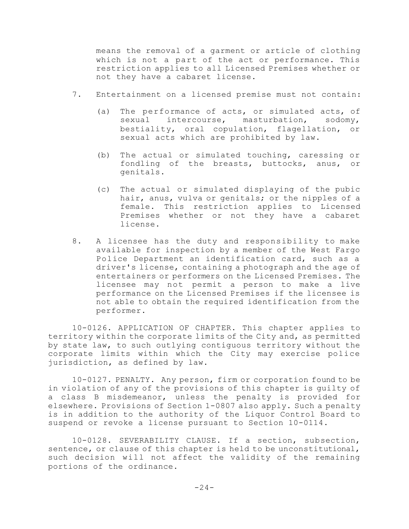means the removal of a garment or article of clothing which is not a part of the act or performance. This restriction applies to all Licensed Premises whether or not they have a cabaret license.

- 7. Entertainment on a licensed premise must not contain:
	- (a) The performance of acts, or simulated acts, of sexual intercourse, masturbation, sodomy, bestiality, oral copulation, flagellation, or sexual acts which are prohibited by law.
	- (b) The actual or simulated touching, caressing or fondling of the breasts, buttocks, anus, or genitals.
	- (c) The actual or simulated displaying of the pubic hair, anus, vulva or genitals; or the nipples of a female. This restriction applies to Licensed Premises whether or not they have a cabaret license.
- 8. A licensee has the duty and responsibility to make available for inspection by a member of the West Fargo Police Department an identification card, such as a driver's license, containing a photograph and the age of entertainers or performers on the Licensed Premises. The licensee may not permit a person to make a live performance on the Licensed Premises if the licensee is not able to obtain the required identification from the performer.

10-0126. APPLICATION OF CHAPTER. This chapter applies to territory within the corporate limits of the City and, as permitted by state law, to such outlying contiguous territory without the corporate limits within which the City may exercise police jurisdiction, as defined by law.

10-0127. PENALTY. Any person, firm or corporation found to be in violation of any of the provisions of this chapter is guilty of a class B misdemeanor, unless the penalty is provided for elsewhere. Provisions of Section 1-0807 also apply. Such a penalty is in addition to the authority of the Liquor Control Board to suspend or revoke a license pursuant to Section 10-0114.

10-0128. SEVERABILITY CLAUSE. If a section, subsection, sentence, or clause of this chapter is held to be unconstitutional, such decision will not affect the validity of the remaining portions of the ordinance.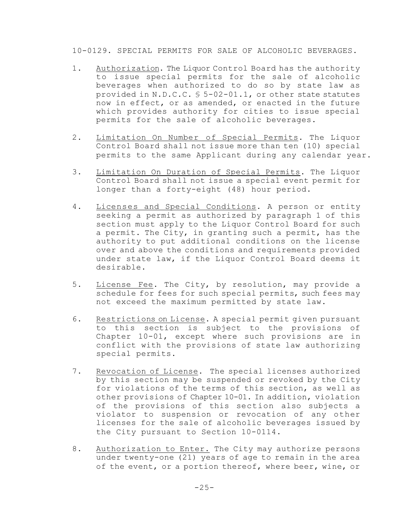10-0129. SPECIAL PERMITS FOR SALE OF ALCOHOLIC BEVERAGES.

- 1. Authorization. The Liquor Control Board has the authority to issue special permits for the sale of alcoholic beverages when authorized to do so by state law as provided in N.D.C.C. § 5-02-01.1, or other state statutes now in effect, or as amended, or enacted in the future which provides authority for cities to issue special permits for the sale of alcoholic beverages.
- 2. Limitation On Number of Special Permits. The Liquor Control Board shall not issue more than ten (10) special permits to the same Applicant during any calendar year.
- 3. Limitation On Duration of Special Permits. The Liquor Control Board shall not issue a special event permit for longer than a forty-eight (48) hour period.
- 4. Licenses and Special Conditions. A person or entity seeking a permit as authorized by paragraph 1 of this section must apply to the Liquor Control Board for such a permit. The City, in granting such a permit, has the authority to put additional conditions on the license over and above the conditions and requirements provided under state law, if the Liquor Control Board deems it desirable.
- 5. License Fee. The City, by resolution, may provide a schedule for fees for such special permits, such fees may not exceed the maximum permitted by state law.
- 6. Restrictions on License. A special permit given pursuant to this section is subject to the provisions of Chapter 10-01, except where such provisions are in conflict with the provisions of state law authorizing special permits.
- 7. Revocation of License. The special licenses authorized by this section may be suspended or revoked by the City for violations of the terms of this section, as well as other provisions of Chapter 10-01. In addition, violation of the provisions of this section also subjects a violator to suspension or revocation of any other licenses for the sale of alcoholic beverages issued by the City pursuant to Section 10-0114.
- 8. Authorization to Enter. The City may authorize persons under twenty-one (21) years of age to remain in the area of the event, or a portion thereof, where beer, wine, or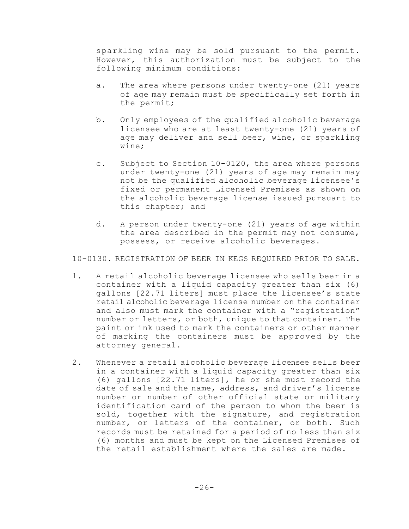sparkling wine may be sold pursuant to the permit. However, this authorization must be subject to the following minimum conditions:

- a. The area where persons under twenty-one (21) years of age may remain must be specifically set forth in the permit;
- b. Only employees of the qualified alcoholic beverage licensee who are at least twenty-one (21) years of age may deliver and sell beer, wine, or sparkling wine;
- c. Subject to Section 10-0120, the area where persons under twenty-one (21) years of age may remain may not be the qualified alcoholic beverage licensee's fixed or permanent Licensed Premises as shown on the alcoholic beverage license issued pursuant to this chapter; and
- d. A person under twenty-one (21) years of age within the area described in the permit may not consume, possess, or receive alcoholic beverages.

10-0130. REGISTRATION OF BEER IN KEGS REQUIRED PRIOR TO SALE.

- 1. A retail alcoholic beverage licensee who sells beer in a container with a liquid capacity greater than six (6) gallons [22.71 liters] must place the licensee's state retail alcoholic beverage license number on the container and also must mark the container with a "registration" number or letters, or both, unique to that container. The paint or ink used to mark the containers or other manner of marking the containers must be approved by the attorney general.
- 2. Whenever a retail alcoholic beverage licensee sells beer in a container with a liquid capacity greater than six (6) gallons [22.71 liters], he or she must record the date of sale and the name, address, and driver's license number or number of other official state or military identification card of the person to whom the beer is sold, together with the signature, and registration number, or letters of the container, or both. Such records must be retained for a period of no less than six (6) months and must be kept on the Licensed Premises of the retail establishment where the sales are made.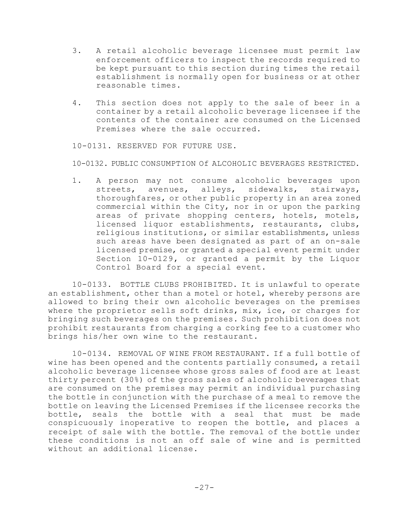- 3. A retail alcoholic beverage licensee must permit law enforcement officers to inspect the records required to be kept pursuant to this section during times the retail establishment is normally open for business or at other reasonable times.
- 4. This section does not apply to the sale of beer in a container by a retail alcoholic beverage licensee if the contents of the container are consumed on the Licensed Premises where the sale occurred.

10-0131. RESERVED FOR FUTURE USE.

10-0132. PUBLIC CONSUMPTION Of ALCOHOLIC BEVERAGES RESTRICTED.

1. A person may not consume alcoholic beverages upon streets, avenues, alleys, sidewalks, stairways, thoroughfares, or other public property in an area zoned commercial within the City, nor in or upon the parking areas of private shopping centers, hotels, motels, licensed liquor establishments, restaurants, clubs, religious institutions, or similar establishments, unless such areas have been designated as part of an on-sale licensed premise, or granted a special event permit under Section 10-0129, or granted a permit by the Liquor Control Board for a special event.

10-0133. BOTTLE CLUBS PROHIBITED. It is unlawful to operate an establishment, other than a motel or hotel, whereby persons are allowed to bring their own alcoholic beverages on the premises where the proprietor sells soft drinks, mix, ice, or charges for bringing such beverages on the premises. Such prohibition does not prohibit restaurants from charging a corking fee to a customer who brings his/her own wine to the restaurant.

10-0134. REMOVAL OF WINE FROM RESTAURANT. If a full bottle of wine has been opened and the contents partially consumed, a retail alcoholic beverage licensee whose gross sales of food are at least thirty percent (30%) of the gross sales of alcoholic beverages that are consumed on the premises may permit an individual purchasing the bottle in conjunction with the purchase of a meal to remove the bottle on leaving the Licensed Premises if the licensee recorks the bottle, seals the bottle with a seal that must be made conspicuously inoperative to reopen the bottle, and places a receipt of sale with the bottle. The removal of the bottle under these conditions is not an off sale of wine and is permitted without an additional license.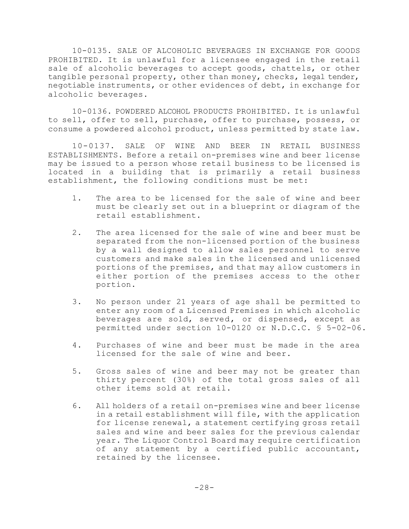10-0135. SALE OF ALCOHOLIC BEVERAGES IN EXCHANGE FOR GOODS PROHIBITED. It is unlawful for a licensee engaged in the retail sale of alcoholic beverages to accept goods, chattels, or other tangible personal property, other than money, checks, legal tender, negotiable instruments, or other evidences of debt, in exchange for alcoholic beverages.

10-0136. POWDERED ALCOHOL PRODUCTS PROHIBITED. It is unlawful to sell, offer to sell, purchase, offer to purchase, possess, or consume a powdered alcohol product, unless permitted by state law.

10-0137. SALE OF WINE AND BEER IN RETAIL BUSINESS ESTABLISHMENTS. Before a retail on-premises wine and beer license may be issued to a person whose retail business to be licensed is located in a building that is primarily a retail business establishment, the following conditions must be met:

- 1. The area to be licensed for the sale of wine and beer must be clearly set out in a blueprint or diagram of the retail establishment.
- 2. The area licensed for the sale of wine and beer must be separated from the non-licensed portion of the business by a wall designed to allow sales personnel to serve customers and make sales in the licensed and unlicensed portions of the premises, and that may allow customers in either portion of the premises access to the other portion.
- 3. No person under 21 years of age shall be permitted to enter any room of a Licensed Premises in which alcoholic beverages are sold, served, or dispensed, except as permitted under section 10-0120 or N.D.C.C. § 5-02-06.
- 4. Purchases of wine and beer must be made in the area licensed for the sale of wine and beer.
- 5. Gross sales of wine and beer may not be greater than thirty percent (30%) of the total gross sales of all other items sold at retail.
- 6. All holders of a retail on-premises wine and beer license in a retail establishment will file, with the application for license renewal, a statement certifying gross retail sales and wine and beer sales for the previous calendar year. The Liquor Control Board may require certification of any statement by a certified public accountant, retained by the licensee.